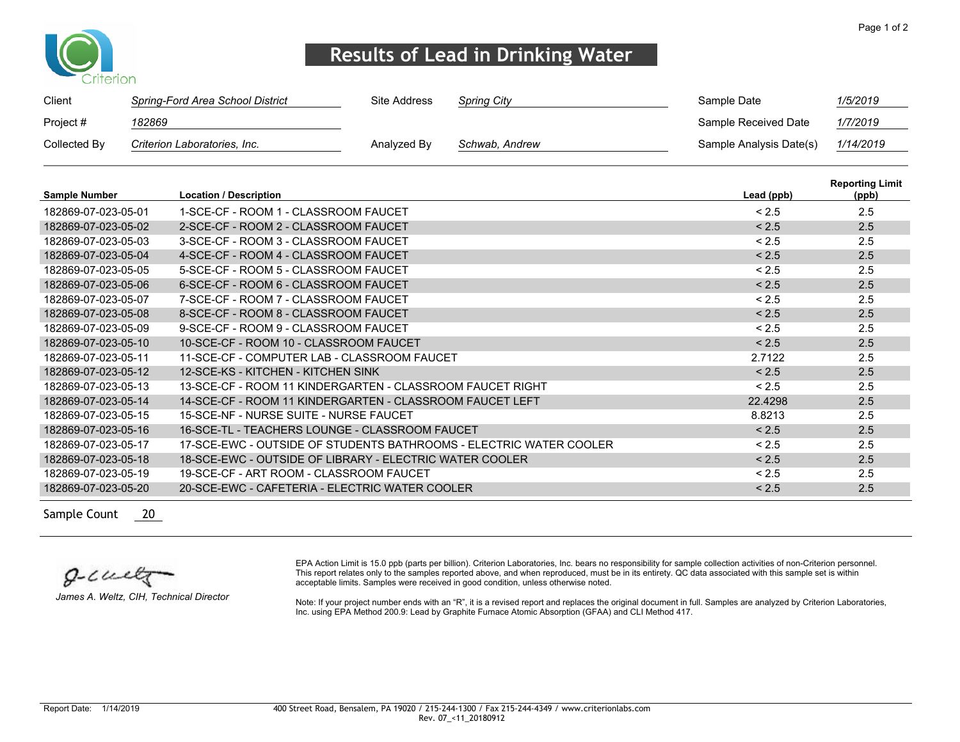

## **Results of Lead in Drinking Water**

| Client       | Spring-Ford Area School District | Site Address | <b>Spring City</b> | Sample Date             | 1/5/2019                                                                                                        |
|--------------|----------------------------------|--------------|--------------------|-------------------------|-----------------------------------------------------------------------------------------------------------------|
| Project #    | 182869                           |              |                    | Sample Received Date    | 1/7/2019                                                                                                        |
| Collected By | Criterion Laboratories, Inc.     | Analyzed By  | Schwab, Andrew     | Sample Analysis Date(s) | 1/14/2019                                                                                                       |
|              |                                  |              |                    |                         | The contract of the contract of the contract of the contract of the contract of the contract of the contract of |

| <b>Sample Number</b> | <b>Location / Description</b>                                      | Lead (ppb) | <b>Reporting Limit</b><br>(ppb) |
|----------------------|--------------------------------------------------------------------|------------|---------------------------------|
| 182869-07-023-05-01  | 1-SCE-CF - ROOM 1 - CLASSROOM FAUCET                               | < 2.5      | 2.5                             |
| 182869-07-023-05-02  | 2-SCE-CF - ROOM 2 - CLASSROOM FAUCET                               | < 2.5      | 2.5                             |
| 182869-07-023-05-03  | 3-SCE-CF - ROOM 3 - CLASSROOM FAUCET                               | < 2.5      | 2.5                             |
| 182869-07-023-05-04  | 4-SCE-CF - ROOM 4 - CLASSROOM FAUCET                               | < 2.5      | 2.5                             |
| 182869-07-023-05-05  | 5-SCE-CF - ROOM 5 - CLASSROOM FAUCET                               | < 2.5      | 2.5                             |
| 182869-07-023-05-06  | 6-SCE-CF - ROOM 6 - CLASSROOM FAUCET                               | < 2.5      | 2.5                             |
| 182869-07-023-05-07  | 7-SCE-CF - ROOM 7 - CLASSROOM FAUCET                               | < 2.5      | 2.5                             |
| 182869-07-023-05-08  | 8-SCE-CF - ROOM 8 - CLASSROOM FAUCET                               | < 2.5      | 2.5                             |
| 182869-07-023-05-09  | 9-SCE-CF - ROOM 9 - CLASSROOM FAUCET                               | < 2.5      | 2.5                             |
| 182869-07-023-05-10  | 10-SCE-CF - ROOM 10 - CLASSROOM FAUCET                             | < 2.5      | 2.5                             |
| 182869-07-023-05-11  | 11-SCE-CF - COMPUTER LAB - CLASSROOM FAUCET                        | 2.7122     | 2.5                             |
| 182869-07-023-05-12  | 12-SCE-KS - KITCHEN - KITCHEN SINK                                 | < 2.5      | 2.5                             |
| 182869-07-023-05-13  | 13-SCE-CF - ROOM 11 KINDERGARTEN - CLASSROOM FAUCET RIGHT          | < 2.5      | 2.5                             |
| 182869-07-023-05-14  | 14-SCE-CF - ROOM 11 KINDERGARTEN - CLASSROOM FAUCET LEFT           | 22.4298    | 2.5                             |
| 182869-07-023-05-15  | 15-SCE-NE - NURSE SUITE - NURSE FAUCET                             | 8.8213     | 2.5                             |
| 182869-07-023-05-16  | 16-SCE-TL - TEACHERS LOUNGE - CLASSROOM FAUCET                     | < 2.5      | 2.5                             |
| 182869-07-023-05-17  | 17-SCE-EWC - OUTSIDE OF STUDENTS BATHROOMS - ELECTRIC WATER COOLER | < 2.5      | 2.5                             |
| 182869-07-023-05-18  | 18-SCE-EWC - OUTSIDE OF LIBRARY - ELECTRIC WATER COOLER            | < 2.5      | 2.5                             |
| 182869-07-023-05-19  | 19-SCE-CE - ART ROOM - CLASSROOM FAUCET                            | < 2.5      | 2.5                             |
| 182869-07-023-05-20  | 20-SCE-EWC - CAFETERIA - ELECTRIC WATER COOLER                     | < 2.5      | 2.5                             |

Sample Count 20

 $g$ - $cu$ elg

*James A. Weltz, CIH, Technical Director*

EPA Action Limit is 15.0 ppb (parts per billion). Criterion Laboratories, Inc. bears no responsibility for sample collection activities of non-Criterion personnel. This report relates only to the samples reported above, and when reproduced, must be in its entirety. QC data associated with this sample set is within acceptable limits. Samples were received in good condition, unless otherwise noted.

Note: If your project number ends with an "R", it is a revised report and replaces the original document in full. Samples are analyzed by Criterion Laboratories, Inc. using EPA Method 200.9: Lead by Graphite Furnace Atomic Absorption (GFAA) and CLI Method 417.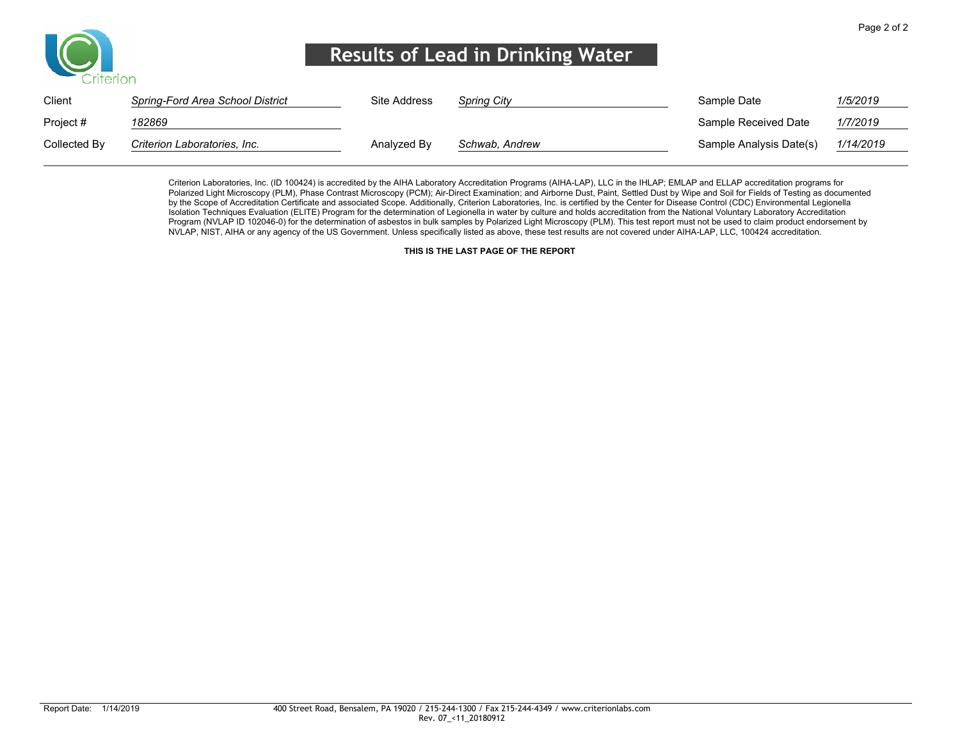

## **Results of Lead in Drinking Water**

| Client       | Spring-Ford Area School District | Site Address | <b>Spring City</b> | Sample Date             | 1/5/2019  |
|--------------|----------------------------------|--------------|--------------------|-------------------------|-----------|
| Project #    | 182869                           |              |                    | Sample Received Date    | 1/7/2019  |
| Collected By | Criterion Laboratories, Inc.     | Analyzed By  | Schwab, Andrew     | Sample Analysis Date(s) | 1/14/2019 |

Criterion Laboratories, Inc. (ID 100424) is accredited by the AIHA Laboratory Accreditation Programs (AIHA-LAP), LLC in the IHLAP; EMLAP and ELLAP accreditation programs for Polarized Light Microscopy (PLM), Phase Contrast Microscopy (PCM); Air-Direct Examination; and Airborne Dust, Paint, Settled Dust by Wipe and Soil for Fields of Testing as documented by the Scope of Accreditation Certificate and associated Scope. Additionally, Criterion Laboratories, Inc. is certified by the Center for Disease Control (CDC) Environmental Legionella Isolation Techniques Evaluation (ELITE) Program for the determination of Legionella in water by culture and holds accreditation from the National Voluntary Laboratory Accreditation Program (NVLAP ID 102046-0) for the determination of asbestos in bulk samples by Polarized Light Microscopy (PLM). This test report must not be used to claim product endorsement by NVLAP, NIST, AIHA or any agency of the US Government. Unless specifically listed as above, these test results are not covered under AIHA-LAP, LLC, 100424 accreditation.

**THIS IS THE LAST PAGE OF THE REPORT**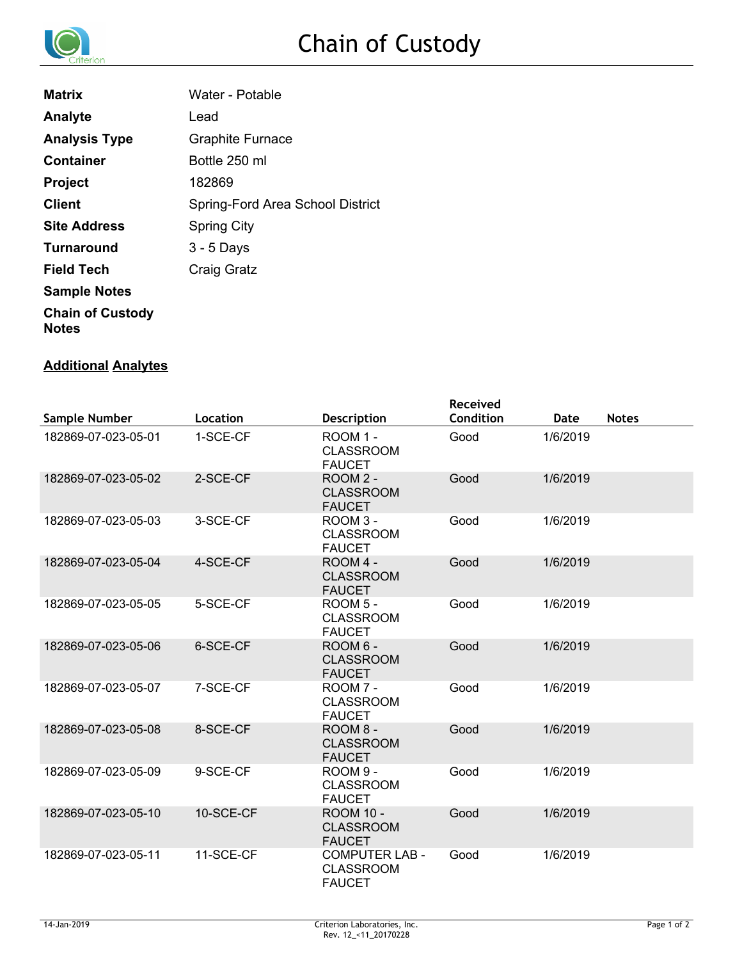

| <b>Matrix</b>                           | Water - Potable                  |
|-----------------------------------------|----------------------------------|
| Analyte                                 | Lead                             |
| <b>Analysis Type</b>                    | <b>Graphite Furnace</b>          |
| <b>Container</b>                        | Bottle 250 ml                    |
| <b>Project</b>                          | 182869                           |
| <b>Client</b>                           | Spring-Ford Area School District |
| <b>Site Address</b>                     | <b>Spring City</b>               |
| <b>Turnaround</b>                       | $3 - 5$ Days                     |
| <b>Field Tech</b>                       | Craig Gratz                      |
| <b>Sample Notes</b>                     |                                  |
| <b>Chain of Custody</b><br><b>Notes</b> |                                  |

#### **Additional Analytes**

|                     |           |                                                            | <b>Received</b> |          |              |
|---------------------|-----------|------------------------------------------------------------|-----------------|----------|--------------|
| Sample Number       | Location  | <b>Description</b>                                         | Condition       | Date     | <b>Notes</b> |
| 182869-07-023-05-01 | 1-SCE-CF  | ROOM 1 -<br><b>CLASSROOM</b><br><b>FAUCET</b>              | Good            | 1/6/2019 |              |
| 182869-07-023-05-02 | 2-SCE-CF  | ROOM 2 -<br><b>CLASSROOM</b><br><b>FAUCET</b>              | Good            | 1/6/2019 |              |
| 182869-07-023-05-03 | 3-SCE-CF  | ROOM 3 -<br><b>CLASSROOM</b><br><b>FAUCET</b>              | Good            | 1/6/2019 |              |
| 182869-07-023-05-04 | 4-SCE-CF  | ROOM 4 -<br><b>CLASSROOM</b><br><b>FAUCET</b>              | Good            | 1/6/2019 |              |
| 182869-07-023-05-05 | 5-SCE-CF  | ROOM 5 -<br><b>CLASSROOM</b><br><b>FAUCET</b>              | Good            | 1/6/2019 |              |
| 182869-07-023-05-06 | 6-SCE-CF  | ROOM 6 -<br><b>CLASSROOM</b><br><b>FAUCET</b>              | Good            | 1/6/2019 |              |
| 182869-07-023-05-07 | 7-SCE-CF  | ROOM 7 -<br><b>CLASSROOM</b><br><b>FAUCET</b>              | Good            | 1/6/2019 |              |
| 182869-07-023-05-08 | 8-SCE-CF  | ROOM 8 -<br><b>CLASSROOM</b><br><b>FAUCET</b>              | Good            | 1/6/2019 |              |
| 182869-07-023-05-09 | 9-SCE-CF  | ROOM 9 -<br><b>CLASSROOM</b><br><b>FAUCET</b>              | Good            | 1/6/2019 |              |
| 182869-07-023-05-10 | 10-SCE-CF | <b>ROOM 10 -</b><br><b>CLASSROOM</b><br><b>FAUCET</b>      | Good            | 1/6/2019 |              |
| 182869-07-023-05-11 | 11-SCE-CF | <b>COMPUTER LAB -</b><br><b>CLASSROOM</b><br><b>FAUCET</b> | Good            | 1/6/2019 |              |